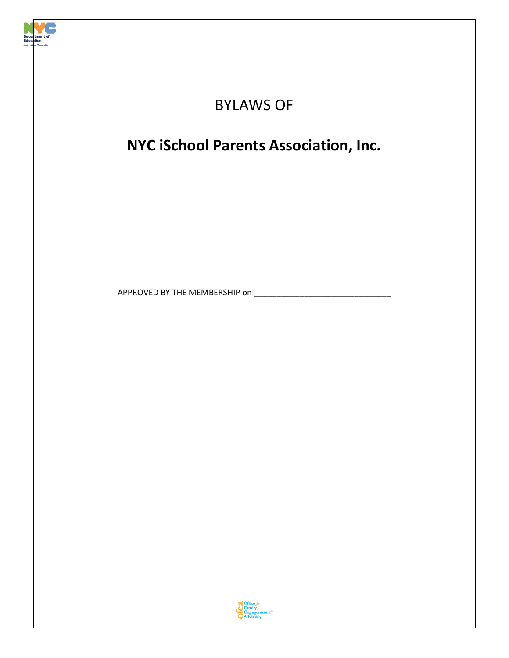

# BYLAWS OF

# **NYC iSchool Parents Association, Inc.**

APPROVED BY THE MEMBERSHIP on \_\_\_\_\_\_\_\_\_\_\_\_\_\_\_\_\_\_\_\_\_\_\_\_\_\_\_\_\_\_

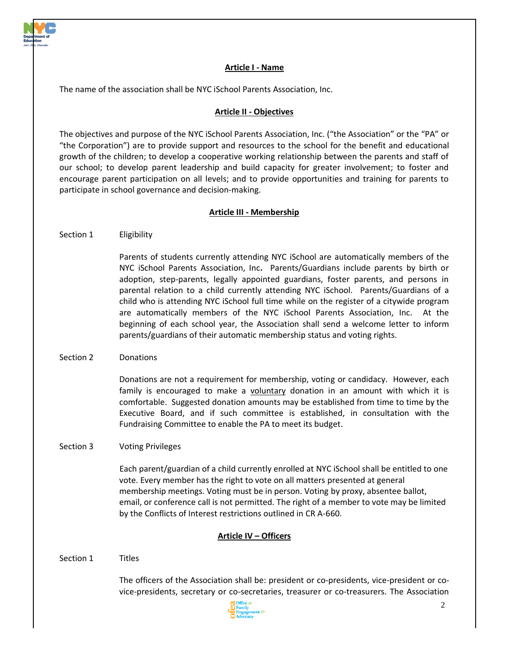

## **Article I - Name**

The name of the association shall be NYC iSchool Parents Association, Inc.

#### **Article II - Objectives**

The objectives and purpose of the NYC iSchool Parents Association, Inc. ("the Association" or the "PA" or "the Corporation") are to provide support and resources to the school for the benefit and educational growth of the children; to develop a cooperative working relationship between the parents and staff of our school; to develop parent leadership and build capacity for greater involvement; to foster and encourage parent participation on all levels; and to provide opportunities and training for parents to participate in school governance and decision-making.

## **Article III - Membership**

#### Section 1 Eligibility

Parents of students currently attending NYC iSchool are automatically members of the NYC iSchool Parents Association, Inc**.** Parents/Guardians include parents by birth or adoption, step-parents, legally appointed guardians, foster parents, and persons in parental relation to a child currently attending NYC iSchool.Parents/Guardians of a child who is attending NYC iSchool full time while on the register of a citywide program are automatically members of the NYC iSchool Parents Association, Inc. At the beginning of each school year, the Association shall send a welcome letter to inform parents/guardians of their automatic membership status and voting rights.

#### Section 2 Donations

Donations are not a requirement for membership, voting or candidacy. However, each family is encouraged to make a voluntary donation in an amount with which it is comfortable. Suggested donation amounts may be established from time to time by the Executive Board, and if such committee is established, in consultation with the Fundraising Committee to enable the PA to meet its budget.

#### Section 3 Voting Privileges

 Each parent/guardian of a child currently enrolled at NYC iSchool shall be entitled to one vote. Every member has the right to vote on all matters presented at general membership meetings. Voting must be in person. Voting by proxy, absentee ballot, email, or conference call is not permitted. The right of a member to vote may be limited by the Conflicts of Interest restrictions outlined in CR A-660.

#### **Article IV – Officers**

#### Section 1 Titles

The officers of the Association shall be: president or co-presidents, vice-president or covice-presidents, secretary or co-secretaries, treasurer or co-treasurers. The Association

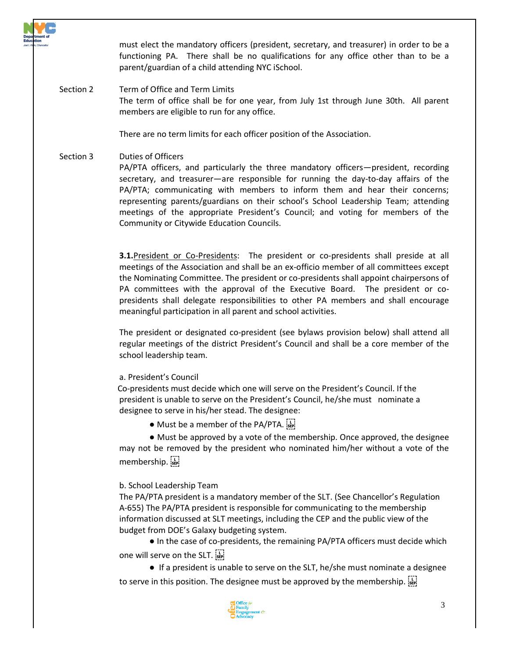must elect the mandatory officers (president, secretary, and treasurer) in order to be a functioning PA. There shall be no qualifications for any office other than to be a parent/guardian of a child attending NYC iSchool.

## Section 2 Term of Office and Term Limits The term of office shall be for one year, from July 1st through June 30th. All parent members are eligible to run for any office.

There are no term limits for each officer position of the Association.

Section 3 Duties of Officers

PA/PTA officers, and particularly the three mandatory officers—president, recording secretary, and treasurer—are responsible for running the day-to-day affairs of the PA/PTA; communicating with members to inform them and hear their concerns; representing parents/guardians on their school's School Leadership Team; attending meetings of the appropriate President's Council; and voting for members of the Community or Citywide Education Councils.

**3.1.**President or Co-Presidents: The president or co-presidents shall preside at all meetings of the Association and shall be an ex-officio member of all committees except the Nominating Committee. The president or co-presidents shall appoint chairpersons of PA committees with the approval of the Executive Board. The president or copresidents shall delegate responsibilities to other PA members and shall encourage meaningful participation in all parent and school activities.

The president or designated co-president (see bylaws provision below) shall attend all regular meetings of the district President's Council and shall be a core member of the school leadership team.

#### a. President's Council

 Co-presidents must decide which one will serve on the President's Council. If the president is unable to serve on the President's Council, he/she must nominate a designee to serve in his/her stead. The designee:

 $\bullet$  Must be a member of the PA/PTA.

● Must be approved by a vote of the membership. Once approved, the designee may not be removed by the president who nominated him/her without a vote of the membership.

## b. School Leadership Team

The PA/PTA president is a mandatory member of the SLT. (See Chancellor's Regulation A-655) The PA/PTA president is responsible for communicating to the membership information discussed at SLT meetings, including the CEP and the public view of the budget from DOE's Galaxy budgeting system.

● In the case of co-presidents, the remaining PA/PTA officers must decide which one will serve on the SLT.

● If a president is unable to serve on the SLT, he/she must nominate a designee to serve in this position. The designee must be approved by the membership.

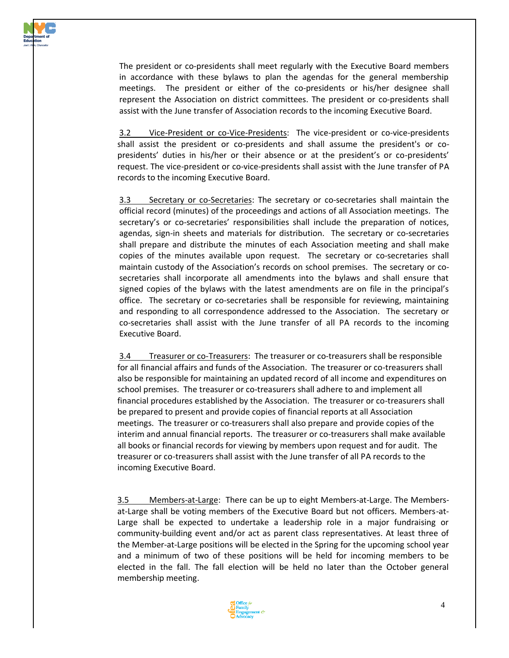

The president or co-presidents shall meet regularly with the Executive Board members in accordance with these bylaws to plan the agendas for the general membership meetings. The president or either of the co-presidents or his/her designee shall represent the Association on district committees. The president or co-presidents shall assist with the June transfer of Association records to the incoming Executive Board.

3.2 Vice-President or co-Vice-Presidents: The vice-president or co-vice-presidents shall assist the president or co-presidents and shall assume the president's or copresidents' duties in his/her or their absence or at the president's or co-presidents' request. The vice-president or co-vice-presidents shall assist with the June transfer of PA records to the incoming Executive Board.

3.3 Secretary or co-Secretaries: The secretary or co-secretaries shall maintain the official record (minutes) of the proceedings and actions of all Association meetings. The secretary's or co-secretaries' responsibilities shall include the preparation of notices, agendas, sign-in sheets and materials for distribution. The secretary or co-secretaries shall prepare and distribute the minutes of each Association meeting and shall make copies of the minutes available upon request. The secretary or co-secretaries shall maintain custody of the Association's records on school premises. The secretary or cosecretaries shall incorporate all amendments into the bylaws and shall ensure that signed copies of the bylaws with the latest amendments are on file in the principal's office. The secretary or co-secretaries shall be responsible for reviewing, maintaining and responding to all correspondence addressed to the Association. The secretary or co-secretaries shall assist with the June transfer of all PA records to the incoming Executive Board.

3.4 Treasurer or co-Treasurers: The treasurer or co-treasurers shall be responsible for all financial affairs and funds of the Association. The treasurer or co-treasurers shall also be responsible for maintaining an updated record of all income and expenditures on school premises. The treasurer or co-treasurers shall adhere to and implement all financial procedures established by the Association. The treasurer or co-treasurers shall be prepared to present and provide copies of financial reports at all Association meetings. The treasurer or co-treasurers shall also prepare and provide copies of the interim and annual financial reports. The treasurer or co-treasurers shall make available all books or financial records for viewing by members upon request and for audit. The treasurer or co-treasurers shall assist with the June transfer of all PA records to the incoming Executive Board.

3.5 Members-at-Large: There can be up to eight Members-at-Large. The Membersat-Large shall be voting members of the Executive Board but not officers. Members-at-Large shall be expected to undertake a leadership role in a major fundraising or community-building event and/or act as parent class representatives. At least three of the Member-at-Large positions will be elected in the Spring for the upcoming school year and a minimum of two of these positions will be held for incoming members to be elected in the fall. The fall election will be held no later than the October general membership meeting.

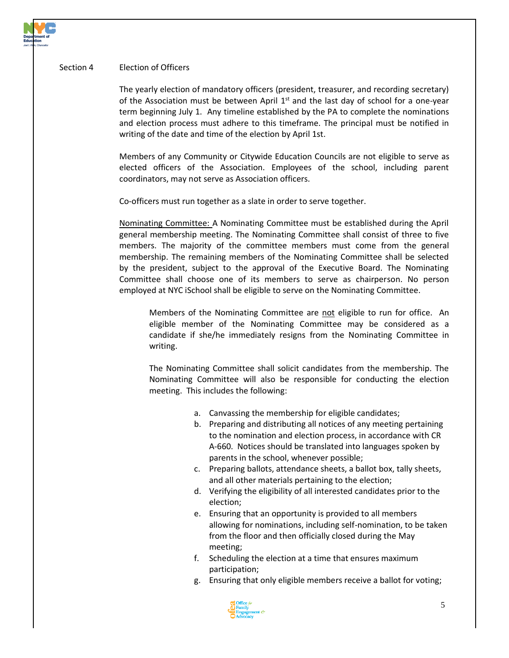

The yearly election of mandatory officers (president, treasurer, and recording secretary) of the Association must be between April  $1<sup>st</sup>$  and the last day of school for a one-year term beginning July 1. Any timeline established by the PA to complete the nominations and election process must adhere to this timeframe. The principal must be notified in writing of the date and time of the election by April 1st.

Members of any Community or Citywide Education Councils are not eligible to serve as elected officers of the Association. Employees of the school, including parent coordinators, may not serve as Association officers.

Co-officers must run together as a slate in order to serve together.

Nominating Committee: A Nominating Committee must be established during the April general membership meeting. The Nominating Committee shall consist of three to five members. The majority of the committee members must come from the general membership. The remaining members of the Nominating Committee shall be selected by the president, subject to the approval of the Executive Board. The Nominating Committee shall choose one of its members to serve as chairperson. No person employed at NYC iSchool shall be eligible to serve on the Nominating Committee.

Members of the Nominating Committee are not eligible to run for office. An eligible member of the Nominating Committee may be considered as a candidate if she/he immediately resigns from the Nominating Committee in writing.

The Nominating Committee shall solicit candidates from the membership. The Nominating Committee will also be responsible for conducting the election meeting. This includes the following:

- a. Canvassing the membership for eligible candidates;
- b. Preparing and distributing all notices of any meeting pertaining to the nomination and election process, in accordance with CR A-660. Notices should be translated into languages spoken by parents in the school, whenever possible;
- c. Preparing ballots, attendance sheets, a ballot box, tally sheets, and all other materials pertaining to the election;
- d. Verifying the eligibility of all interested candidates prior to the election;
- e. Ensuring that an opportunity is provided to all members allowing for nominations, including self-nomination, to be taken from the floor and then officially closed during the May meeting;
- f. Scheduling the election at a time that ensures maximum participation;
- g. Ensuring that only eligible members receive a ballot for voting;

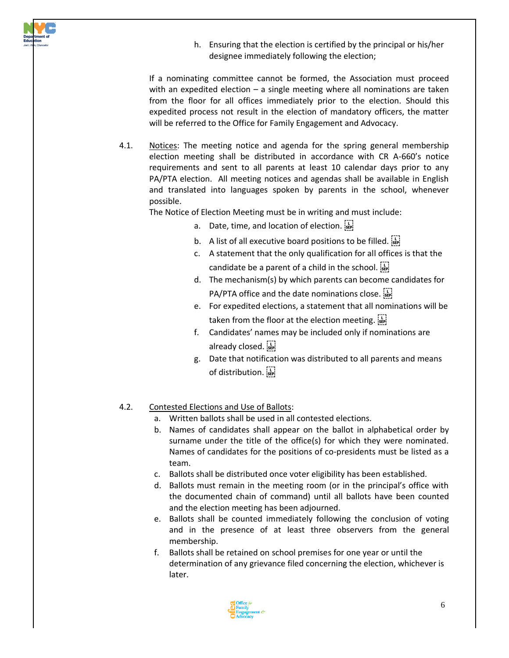

h. Ensuring that the election is certified by the principal or his/her designee immediately following the election;

If a nominating committee cannot be formed, the Association must proceed with an expedited election  $-$  a single meeting where all nominations are taken from the floor for all offices immediately prior to the election. Should this expedited process not result in the election of mandatory officers, the matter will be referred to the Office for Family Engagement and Advocacy.

4.1. Notices: The meeting notice and agenda for the spring general membership election meeting shall be distributed in accordance with CR A-660's notice requirements and sent to all parents at least 10 calendar days prior to any PA/PTA election. All meeting notices and agendas shall be available in English and translated into languages spoken by parents in the school, whenever possible.

The Notice of Election Meeting must be in writing and must include:

- a. Date, time, and location of election.  $\frac{1}{2}$
- b. A list of all executive board positions to be filled.  $\frac{1}{15}$
- c. A statement that the only qualification for all offices is that the candidate be a parent of a child in the school.
- d. The mechanism(s) by which parents can become candidates for PA/PTA office and the date nominations close.
- e. For expedited elections, a statement that all nominations will be taken from the floor at the election meeting.
- f. Candidates' names may be included only if nominations are already closed.
- g. Date that notification was distributed to all parents and means of distribution.

## 4.2. Contested Elections and Use of Ballots:

- a. Written ballots shall be used in all contested elections.
- b. Names of candidates shall appear on the ballot in alphabetical order by surname under the title of the office(s) for which they were nominated. Names of candidates for the positions of co-presidents must be listed as a team.
- c. Ballots shall be distributed once voter eligibility has been established.
- d. Ballots must remain in the meeting room (or in the principal's office with the documented chain of command) until all ballots have been counted and the election meeting has been adjourned.
- e. Ballots shall be counted immediately following the conclusion of voting and in the presence of at least three observers from the general membership.
- f. Ballots shall be retained on school premises for one year or until the determination of any grievance filed concerning the election, whichever is later.

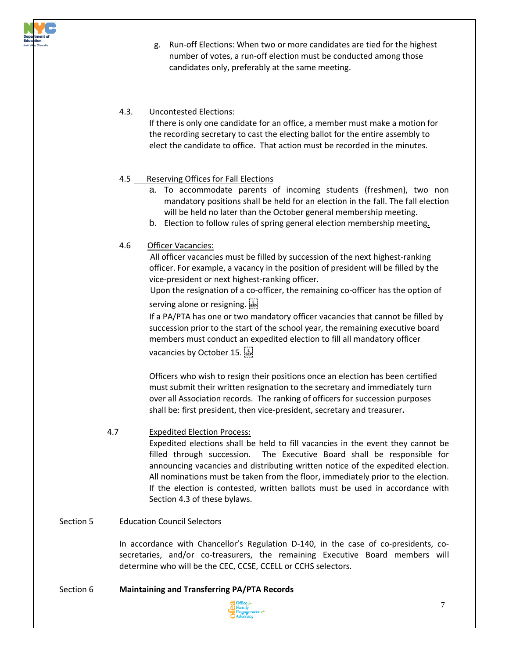

g. Run-off Elections: When two or more candidates are tied for the highest number of votes, a run-off election must be conducted among those candidates only, preferably at the same meeting.

## 4.3. Uncontested Elections:

If there is only one candidate for an office, a member must make a motion for the recording secretary to cast the electing ballot for the entire assembly to elect the candidate to office. That action must be recorded in the minutes.

## 4.5 Reserving Offices for Fall Elections

- a. To accommodate parents of incoming students (freshmen), two non mandatory positions shall be held for an election in the fall. The fall election will be held no later than the October general membership meeting.
- b. Election to follow rules of spring general election membership meeting.
- 4.6 Officer Vacancies:

 All officer vacancies must be filled by succession of the next highest-ranking officer. For example, a vacancy in the position of president will be filled by the vice-president or next highest-ranking officer.

 Upon the resignation of a co-officer, the remaining co-officer has the option of serving alone or resigning.

If a PA/PTA has one or two mandatory officer vacancies that cannot be filled by succession prior to the start of the school year, the remaining executive board members must conduct an expedited election to fill all mandatory officer vacancies by October 15.

Officers who wish to resign their positions once an election has been certified must submit their written resignation to the secretary and immediately turn over all Association records. The ranking of officers for succession purposes shall be: first president, then vice-president, secretary and treasurer**.**

## 4.7 Expedited Election Process:

Expedited elections shall be held to fill vacancies in the event they cannot be filled through succession. The Executive Board shall be responsible for announcing vacancies and distributing written notice of the expedited election. All nominations must be taken from the floor, immediately prior to the election. If the election is contested, written ballots must be used in accordance with Section 4.3 of these bylaws.

#### Section 5 Education Council Selectors

In accordance with Chancellor's Regulation D-140, in the case of co-presidents, cosecretaries, and/or co-treasurers, the remaining Executive Board members will determine who will be the CEC, CCSE, CCELL or CCHS selectors.

#### Section 6 **Maintaining and Transferring PA/PTA Records**

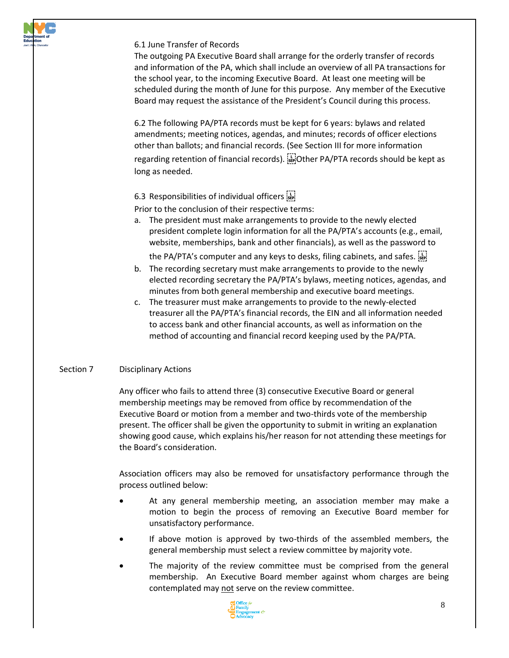

## 6.1 June Transfer of Records

The outgoing PA Executive Board shall arrange for the orderly transfer of records and information of the PA, which shall include an overview of all PA transactions for the school year, to the incoming Executive Board. At least one meeting will be scheduled during the month of June for this purpose. Any member of the Executive Board may request the assistance of the President's Council during this process.

6.2 The following PA/PTA records must be kept for 6 years: bylaws and related amendments; meeting notices, agendas, and minutes; records of officer elections other than ballots; and financial records. (See Section III for more information regarding retention of financial records). Other PA/PTA records should be kept as long as needed.

## 6.3 Responsibilities of individual officers

Prior to the conclusion of their respective terms:

a. The president must make arrangements to provide to the newly elected president complete login information for all the PA/PTA's accounts (e.g., email, website, memberships, bank and other financials), as well as the password to

the PA/PTA's computer and any keys to desks, filing cabinets, and safes.

- b. The recording secretary must make arrangements to provide to the newly elected recording secretary the PA/PTA's bylaws, meeting notices, agendas, and minutes from both general membership and executive board meetings.
- c. The treasurer must make arrangements to provide to the newly-elected treasurer all the PA/PTA's financial records, the EIN and all information needed to access bank and other financial accounts, as well as information on the method of accounting and financial record keeping used by the PA/PTA.

#### Section 7 Disciplinary Actions

Any officer who fails to attend three (3) consecutive Executive Board or general membership meetings may be removed from office by recommendation of the Executive Board or motion from a member and two-thirds vote of the membership present. The officer shall be given the opportunity to submit in writing an explanation showing good cause, which explains his/her reason for not attending these meetings for the Board's consideration.

Association officers may also be removed for unsatisfactory performance through the process outlined below:

- At any general membership meeting, an association member may make a motion to begin the process of removing an Executive Board member for unsatisfactory performance.
- If above motion is approved by two-thirds of the assembled members, the general membership must select a review committee by majority vote.
- The majority of the review committee must be comprised from the general membership. An Executive Board member against whom charges are being contemplated may not serve on the review committee.

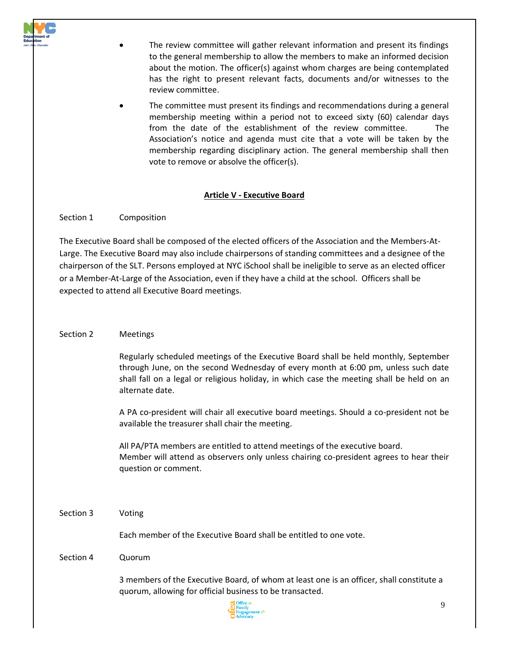

- The review committee will gather relevant information and present its findings to the general membership to allow the members to make an informed decision about the motion. The officer(s) against whom charges are being contemplated has the right to present relevant facts, documents and/or witnesses to the review committee.
- The committee must present its findings and recommendations during a general membership meeting within a period not to exceed sixty (60) calendar days from the date of the establishment of the review committee. The Association's notice and agenda must cite that a vote will be taken by the membership regarding disciplinary action. The general membership shall then vote to remove or absolve the officer(s).

## **Article V - Executive Board**

Section 1 Composition

The Executive Board shall be composed of the elected officers of the Association and the Members-At-Large. The Executive Board may also include chairpersons of standing committees and a designee of the chairperson of the SLT. Persons employed at NYC iSchool shall be ineligible to serve as an elected officer or a Member-At-Large of the Association, even if they have a child at the school. Officers shall be expected to attend all Executive Board meetings.

#### Section 2 Meetings

Regularly scheduled meetings of the Executive Board shall be held monthly, September through June, on the second Wednesday of every month at 6:00 pm, unless such date shall fall on a legal or religious holiday, in which case the meeting shall be held on an alternate date.

A PA co-president will chair all executive board meetings. Should a co-president not be available the treasurer shall chair the meeting.

All PA/PTA members are entitled to attend meetings of the executive board. Member will attend as observers only unless chairing co-president agrees to hear their question or comment.

Section 3 Voting

Each member of the Executive Board shall be entitled to one vote.

#### Section 4 Quorum

3 members of the Executive Board, of whom at least one is an officer, shall constitute a quorum, allowing for official business to be transacted.

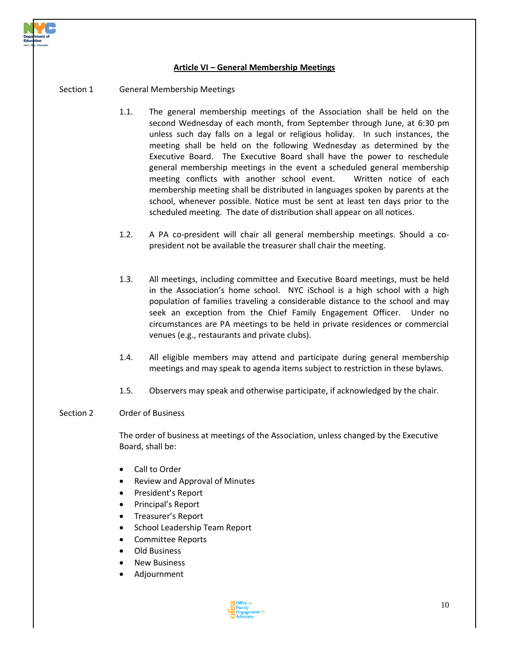

## **Article VI – General Membership Meetings**

#### Section 1 General Membership Meetings

- 1.1. The general membership meetings of the Association shall be held on the second Wednesday of each month, from September through June, at 6:30 pm unless such day falls on a legal or religious holiday. In such instances, the meeting shall be held on the following Wednesday as determined by the Executive Board. The Executive Board shall have the power to reschedule general membership meetings in the event a scheduled general membership meeting conflicts with another school event. Written notice of each membership meeting shall be distributed in languages spoken by parents at the school, whenever possible. Notice must be sent at least ten days prior to the scheduled meeting. The date of distribution shall appear on all notices.
- 1.2. A PA co-president will chair all general membership meetings. Should a copresident not be available the treasurer shall chair the meeting.
- 1.3. All meetings, including committee and Executive Board meetings, must be held in the Association's home school. NYC iSchool is a high school with a high population of families traveling a considerable distance to the school and may seek an exception from the Chief Family Engagement Officer.Under no circumstances are PA meetings to be held in private residences or commercial venues (e.g., restaurants and private clubs).
- 1.4. All eligible members may attend and participate during general membership meetings and may speak to agenda items subject to restriction in these bylaws.
- 1.5. Observers may speak and otherwise participate, if acknowledged by the chair.

#### Section 2 Order of Business

The order of business at meetings of the Association, unless changed by the Executive Board, shall be:

- Call to Order
- Review and Approval of Minutes
- President's Report
- Principal's Report
- Treasurer's Report
- School Leadership Team Report
- Committee Reports
- Old Business
- New Business
- Adjournment

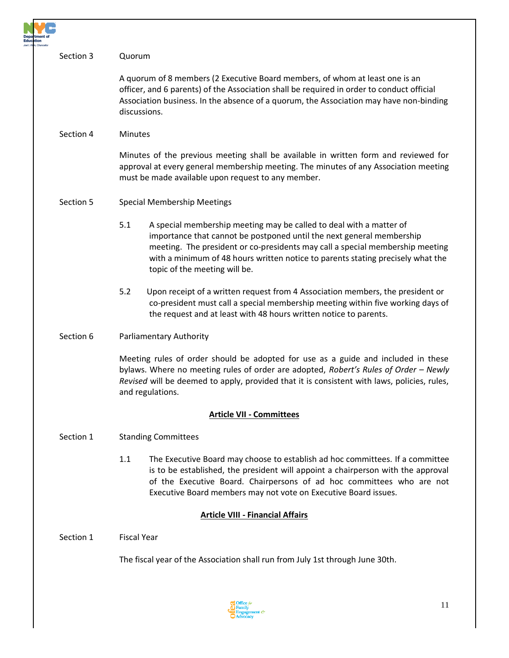| (kv                                     |           |                                                                                                                                                                                                                                                                                                                                                          |
|-----------------------------------------|-----------|----------------------------------------------------------------------------------------------------------------------------------------------------------------------------------------------------------------------------------------------------------------------------------------------------------------------------------------------------------|
|                                         | Section 3 | Quorum                                                                                                                                                                                                                                                                                                                                                   |
|                                         |           | A quorum of 8 members (2 Executive Board members, of whom at least one is an<br>officer, and 6 parents) of the Association shall be required in order to conduct official<br>Association business. In the absence of a quorum, the Association may have non-binding<br>discussions.                                                                      |
|                                         | Section 4 | <b>Minutes</b>                                                                                                                                                                                                                                                                                                                                           |
|                                         |           | Minutes of the previous meeting shall be available in written form and reviewed for<br>approval at every general membership meeting. The minutes of any Association meeting<br>must be made available upon request to any member.                                                                                                                        |
|                                         | Section 5 | <b>Special Membership Meetings</b>                                                                                                                                                                                                                                                                                                                       |
|                                         |           | 5.1<br>A special membership meeting may be called to deal with a matter of<br>importance that cannot be postponed until the next general membership<br>meeting. The president or co-presidents may call a special membership meeting<br>with a minimum of 48 hours written notice to parents stating precisely what the<br>topic of the meeting will be. |
|                                         |           | 5.2<br>Upon receipt of a written request from 4 Association members, the president or<br>co-president must call a special membership meeting within five working days of<br>the request and at least with 48 hours written notice to parents.                                                                                                            |
|                                         | Section 6 | Parliamentary Authority                                                                                                                                                                                                                                                                                                                                  |
|                                         |           | Meeting rules of order should be adopted for use as a guide and included in these<br>bylaws. Where no meeting rules of order are adopted, Robert's Rules of Order - Newly<br>Revised will be deemed to apply, provided that it is consistent with laws, policies, rules,<br>and regulations.                                                             |
|                                         |           | <b>Article VII - Committees</b>                                                                                                                                                                                                                                                                                                                          |
|                                         | Section 1 | <b>Standing Committees</b>                                                                                                                                                                                                                                                                                                                               |
|                                         |           | 1.1<br>The Executive Board may choose to establish ad hoc committees. If a committee<br>is to be established, the president will appoint a chairperson with the approval<br>of the Executive Board. Chairpersons of ad hoc committees who are not<br>Executive Board members may not vote on Executive Board issues.                                     |
| <b>Article VIII - Financial Affairs</b> |           |                                                                                                                                                                                                                                                                                                                                                          |
|                                         | Section 1 | <b>Fiscal Year</b>                                                                                                                                                                                                                                                                                                                                       |
|                                         |           | The fiscal year of the Association shall run from July 1st through June 30th.                                                                                                                                                                                                                                                                            |
|                                         |           |                                                                                                                                                                                                                                                                                                                                                          |

De<br>Ed

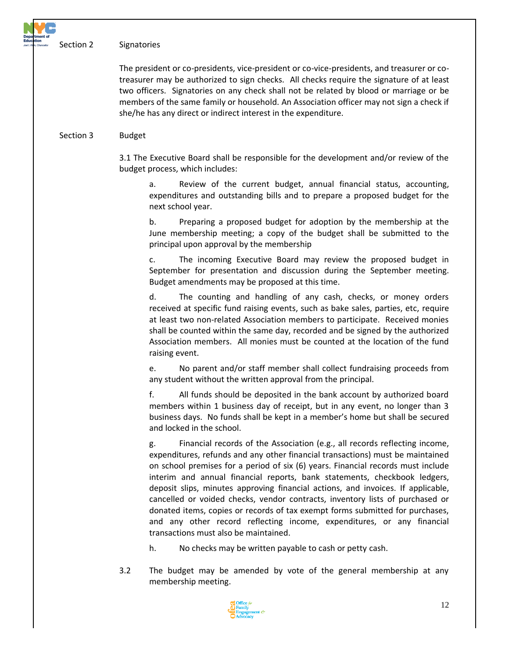#### Section 2 Signatories

The president or co-presidents, vice-president or co-vice-presidents, and treasurer or cotreasurer may be authorized to sign checks. All checks require the signature of at least two officers. Signatories on any check shall not be related by blood or marriage or be members of the same family or household. An Association officer may not sign a check if she/he has any direct or indirect interest in the expenditure.

#### Section 3 Budget

3.1 The Executive Board shall be responsible for the development and/or review of the budget process, which includes:

a. Review of the current budget, annual financial status, accounting, expenditures and outstanding bills and to prepare a proposed budget for the next school year.

b. Preparing a proposed budget for adoption by the membership at the June membership meeting; a copy of the budget shall be submitted to the principal upon approval by the membership

c. The incoming Executive Board may review the proposed budget in September for presentation and discussion during the September meeting. Budget amendments may be proposed at this time.

d. The counting and handling of any cash, checks, or money orders received at specific fund raising events, such as bake sales, parties, etc, require at least two non-related Association members to participate. Received monies shall be counted within the same day, recorded and be signed by the authorized Association members. All monies must be counted at the location of the fund raising event.

e. No parent and/or staff member shall collect fundraising proceeds from any student without the written approval from the principal.

f. All funds should be deposited in the bank account by authorized board members within 1 business day of receipt, but in any event, no longer than 3 business days. No funds shall be kept in a member's home but shall be secured and locked in the school.

g. Financial records of the Association (e.g., all records reflecting income, expenditures, refunds and any other financial transactions) must be maintained on school premises for a period of six (6) years. Financial records must include interim and annual financial reports, bank statements, checkbook ledgers, deposit slips, minutes approving financial actions, and invoices. If applicable, cancelled or voided checks, vendor contracts, inventory lists of purchased or donated items, copies or records of tax exempt forms submitted for purchases, and any other record reflecting income, expenditures, or any financial transactions must also be maintained.

- h. No checks may be written payable to cash or petty cash.
- 3.2 The budget may be amended by vote of the general membership at any membership meeting.

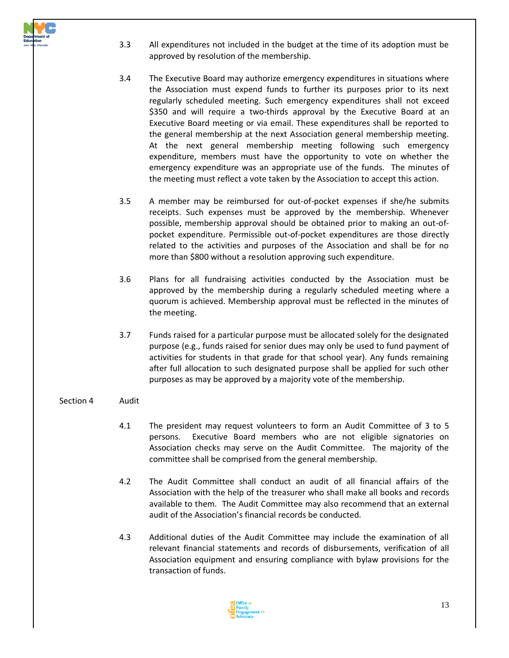- 3.3 All expenditures not included in the budget at the time of its adoption must be approved by resolution of the membership.
- 3.4 The Executive Board may authorize emergency expenditures in situations where the Association must expend funds to further its purposes prior to its next regularly scheduled meeting. Such emergency expenditures shall not exceed \$350 and will require a two-thirds approval by the Executive Board at an Executive Board meeting or via email. These expenditures shall be reported to the general membership at the next Association general membership meeting. At the next general membership meeting following such emergency expenditure, members must have the opportunity to vote on whether the emergency expenditure was an appropriate use of the funds. The minutes of the meeting must reflect a vote taken by the Association to accept this action.
- 3.5 A member may be reimbursed for out-of-pocket expenses if she/he submits receipts. Such expenses must be approved by the membership. Whenever possible, membership approval should be obtained prior to making an out-ofpocket expenditure. Permissible out-of-pocket expenditures are those directly related to the activities and purposes of the Association and shall be for no more than \$800 without a resolution approving such expenditure.
- 3.6 Plans for all fundraising activities conducted by the Association must be approved by the membership during a regularly scheduled meeting where a quorum is achieved. Membership approval must be reflected in the minutes of the meeting.
- 3.7 Funds raised for a particular purpose must be allocated solely for the designated purpose (e.g., funds raised for senior dues may only be used to fund payment of activities for students in that grade for that school year). Any funds remaining after full allocation to such designated purpose shall be applied for such other purposes as may be approved by a majority vote of the membership.

#### Section 4 Audit

- 4.1 The president may request volunteers to form an Audit Committee of 3 to 5 persons. Executive Board members who are not eligible signatories on Association checks may serve on the Audit Committee. The majority of the committee shall be comprised from the general membership.
- 4.2 The Audit Committee shall conduct an audit of all financial affairs of the Association with the help of the treasurer who shall make all books and records available to them. The Audit Committee may also recommend that an external audit of the Association's financial records be conducted.
- 4.3 Additional duties of the Audit Committee may include the examination of all relevant financial statements and records of disbursements, verification of all Association equipment and ensuring compliance with bylaw provisions for the transaction of funds.

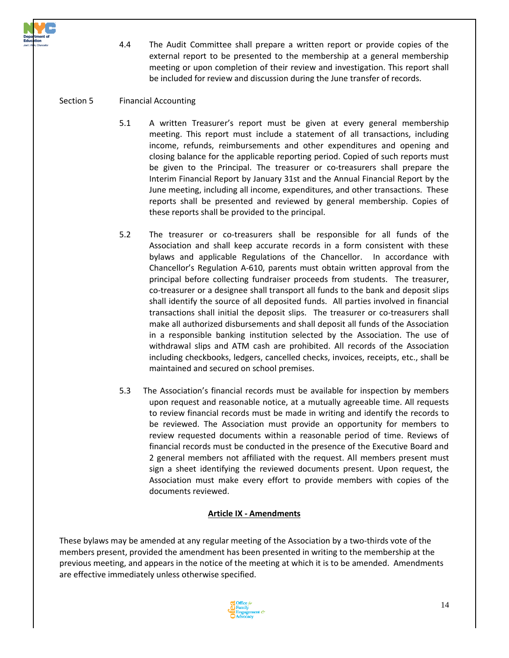

4.4 The Audit Committee shall prepare a written report or provide copies of the external report to be presented to the membership at a general membership meeting or upon completion of their review and investigation. This report shall be included for review and discussion during the June transfer of records.

## Section 5 Financial Accounting

- 5.1 A written Treasurer's report must be given at every general membership meeting. This report must include a statement of all transactions, including income, refunds, reimbursements and other expenditures and opening and closing balance for the applicable reporting period. Copied of such reports must be given to the Principal. The treasurer or co-treasurers shall prepare the Interim Financial Report by January 31st and the Annual Financial Report by the June meeting, including all income, expenditures, and other transactions. These reports shall be presented and reviewed by general membership. Copies of these reports shall be provided to the principal.
- 5.2 The treasurer or co-treasurers shall be responsible for all funds of the Association and shall keep accurate records in a form consistent with these bylaws and applicable Regulations of the Chancellor. In accordance with Chancellor's Regulation A-610, parents must obtain written approval from the principal before collecting fundraiser proceeds from students.The treasurer, co-treasurer or a designee shall transport all funds to the bank and deposit slips shall identify the source of all deposited funds. All parties involved in financial transactions shall initial the deposit slips*.* The treasurer or co-treasurers shall make all authorized disbursements and shall deposit all funds of the Association in a responsible banking institution selected by the Association. The use of withdrawal slips and ATM cash are prohibited. All records of the Association including checkbooks, ledgers, cancelled checks, invoices, receipts, etc., shall be maintained and secured on school premises.
- 5.3 The Association's financial records must be available for inspection by members upon request and reasonable notice, at a mutually agreeable time. All requests to review financial records must be made in writing and identify the records to be reviewed. The Association must provide an opportunity for members to review requested documents within a reasonable period of time. Reviews of financial records must be conducted in the presence of the Executive Board and 2 general members not affiliated with the request. All members present must sign a sheet identifying the reviewed documents present. Upon request, the Association must make every effort to provide members with copies of the documents reviewed.

## **Article IX - Amendments**

These bylaws may be amended at any regular meeting of the Association by a two-thirds vote of the members present, provided the amendment has been presented in writing to the membership at the previous meeting, and appears in the notice of the meeting at which it is to be amended. Amendments are effective immediately unless otherwise specified.

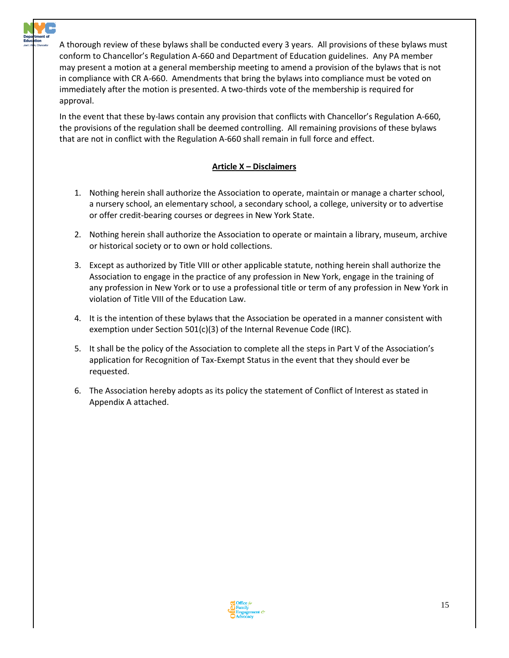

A thorough review of these bylaws shall be conducted every 3 years. All provisions of these bylaws must conform to Chancellor's Regulation A-660 and Department of Education guidelines. Any PA member may present a motion at a general membership meeting to amend a provision of the bylaws that is not in compliance with CR A-660. Amendments that bring the bylaws into compliance must be voted on immediately after the motion is presented. A two-thirds vote of the membership is required for approval.

In the event that these by-laws contain any provision that conflicts with Chancellor's Regulation A-660, the provisions of the regulation shall be deemed controlling. All remaining provisions of these bylaws that are not in conflict with the Regulation A-660 shall remain in full force and effect.

## **Article X – Disclaimers**

- 1. Nothing herein shall authorize the Association to operate, maintain or manage a charter school, a nursery school, an elementary school, a secondary school, a college, university or to advertise or offer credit-bearing courses or degrees in New York State.
- 2. Nothing herein shall authorize the Association to operate or maintain a library, museum, archive or historical society or to own or hold collections.
- 3. Except as authorized by Title VIII or other applicable statute, nothing herein shall authorize the Association to engage in the practice of any profession in New York, engage in the training of any profession in New York or to use a professional title or term of any profession in New York in violation of Title VIII of the Education Law.
- 4. It is the intention of these bylaws that the Association be operated in a manner consistent with exemption under Section 501(c)(3) of the Internal Revenue Code (IRC).
- 5. It shall be the policy of the Association to complete all the steps in Part V of the Association's application for Recognition of Tax-Exempt Status in the event that they should ever be requested.
- 6. The Association hereby adopts as its policy the statement of Conflict of Interest as stated in Appendix A attached.

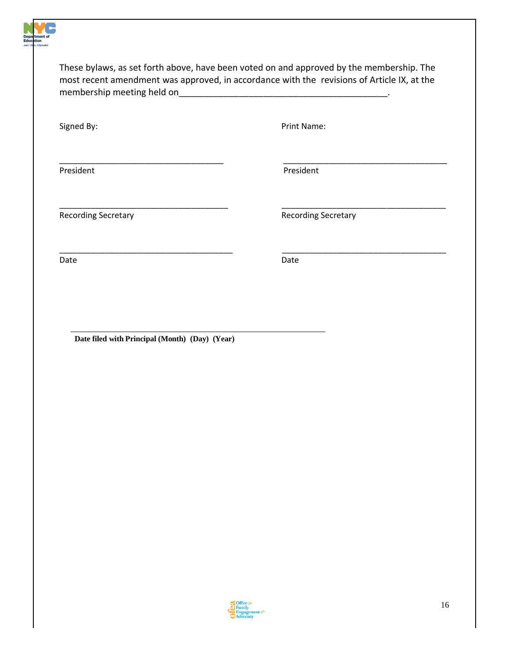

These bylaws, as set forth above, have been voted on and approved by the membership. The most recent amendment was approved, in accordance with the revisions of Article IX, at the membership meeting held on\_\_\_\_\_\_\_\_\_\_\_\_\_\_\_\_\_\_\_\_\_\_\_\_\_\_\_\_\_\_\_\_\_\_\_\_\_\_\_\_\_\_.

| Print Name:                |
|----------------------------|
| President                  |
|                            |
| <b>Recording Secretary</b> |
| Date                       |
|                            |
|                            |

**Date filed with Principal (Month) (Day) (Year)**

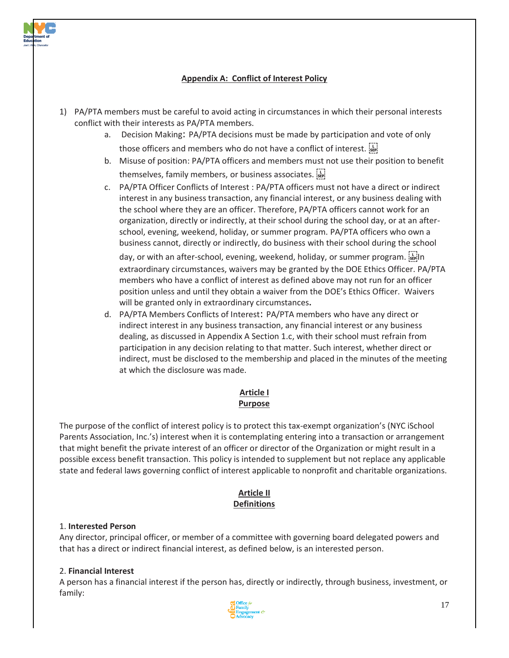## **Appendix A: Conflict of Interest Policy**

- 1) PA/PTA members must be careful to avoid acting in circumstances in which their personal interests conflict with their interests as PA/PTA members.
	- a. Decision Making: PA/PTA decisions must be made by participation and vote of only those officers and members who do not have a conflict of interest.
	- b. Misuse of position: PA/PTA officers and members must not use their position to benefit themselves, family members, or business associates.
	- c. PA/PTA Officer Conflicts of Interest : PA/PTA officers must not have a direct or indirect interest in any business transaction, any financial interest, or any business dealing with the school where they are an officer. Therefore, PA/PTA officers cannot work for an organization, directly or indirectly, at their school during the school day, or at an afterschool, evening, weekend, holiday, or summer program. PA/PTA officers who own a business cannot, directly or indirectly, do business with their school during the school

day, or with an after-school, evening, weekend, holiday, or summer program. extraordinary circumstances, waivers may be granted by the DOE Ethics Officer. PA/PTA members who have a conflict of interest as defined above may not run for an officer position unless and until they obtain a waiver from the DOE's Ethics Officer. Waivers will be granted only in extraordinary circumstances**.**

d. PA/PTA Members Conflicts of Interest: PA/PTA members who have any direct or indirect interest in any business transaction, any financial interest or any business dealing, as discussed in Appendix A Section 1.c, with their school must refrain from participation in any decision relating to that matter. Such interest, whether direct or indirect, must be disclosed to the membership and placed in the minutes of the meeting at which the disclosure was made.

## **Article I Purpose**

The purpose of the conflict of interest policy is to protect this tax-exempt organization's (NYC iSchool Parents Association, Inc.'s) interest when it is contemplating entering into a transaction or arrangement that might benefit the private interest of an officer or director of the Organization or might result in a possible excess benefit transaction. This policy is intended to supplement but not replace any applicable state and federal laws governing conflict of interest applicable to nonprofit and charitable organizations.

## **Article II Definitions**

#### 1. **Interested Person**

Any director, principal officer, or member of a committee with governing board delegated powers and that has a direct or indirect financial interest, as defined below, is an interested person.

## 2. **Financial Interest**

A person has a financial interest if the person has, directly or indirectly, through business, investment, or family:

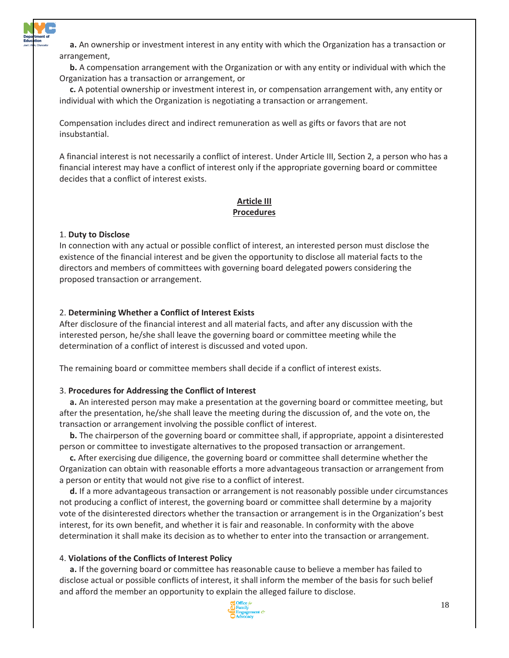

 **a.** An ownership or investment interest in any entity with which the Organization has a transaction or arrangement,

 **b.** A compensation arrangement with the Organization or with any entity or individual with which the Organization has a transaction or arrangement, or

 **c.** A potential ownership or investment interest in, or compensation arrangement with, any entity or individual with which the Organization is negotiating a transaction or arrangement.

Compensation includes direct and indirect remuneration as well as gifts or favors that are not insubstantial.

A financial interest is not necessarily a conflict of interest. Under Article III, Section 2, a person who has a financial interest may have a conflict of interest only if the appropriate governing board or committee decides that a conflict of interest exists.

## **Article III Procedures**

#### 1. **Duty to Disclose**

In connection with any actual or possible conflict of interest, an interested person must disclose the existence of the financial interest and be given the opportunity to disclose all material facts to the directors and members of committees with governing board delegated powers considering the proposed transaction or arrangement.

#### 2. **Determining Whether a Conflict of Interest Exists**

After disclosure of the financial interest and all material facts, and after any discussion with the interested person, he/she shall leave the governing board or committee meeting while the determination of a conflict of interest is discussed and voted upon.

The remaining board or committee members shall decide if a conflict of interest exists.

#### 3. **Procedures for Addressing the Conflict of Interest**

 **a.** An interested person may make a presentation at the governing board or committee meeting, but after the presentation, he/she shall leave the meeting during the discussion of, and the vote on, the transaction or arrangement involving the possible conflict of interest.

 **b.** The chairperson of the governing board or committee shall, if appropriate, appoint a disinterested person or committee to investigate alternatives to the proposed transaction or arrangement.

 **c.** After exercising due diligence, the governing board or committee shall determine whether the Organization can obtain with reasonable efforts a more advantageous transaction or arrangement from a person or entity that would not give rise to a conflict of interest.

 **d.** If a more advantageous transaction or arrangement is not reasonably possible under circumstances not producing a conflict of interest, the governing board or committee shall determine by a majority vote of the disinterested directors whether the transaction or arrangement is in the Organization's best interest, for its own benefit, and whether it is fair and reasonable. In conformity with the above determination it shall make its decision as to whether to enter into the transaction or arrangement.

#### 4. **Violations of the Conflicts of Interest Policy**

 **a.** If the governing board or committee has reasonable cause to believe a member has failed to disclose actual or possible conflicts of interest, it shall inform the member of the basis for such belief and afford the member an opportunity to explain the alleged failure to disclose.

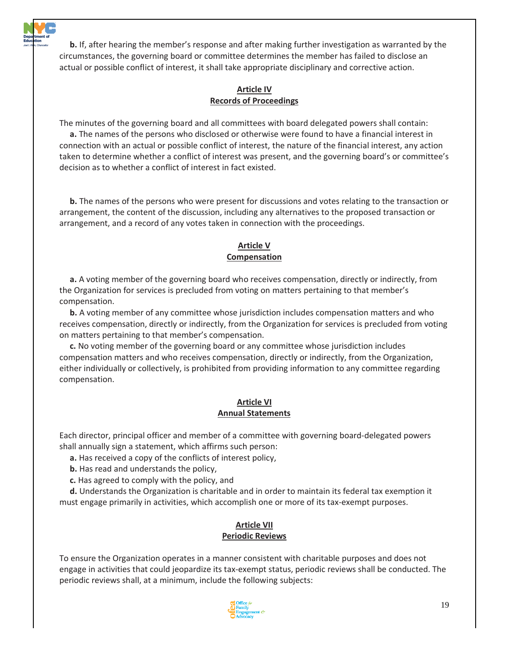**b.** If, after hearing the member's response and after making further investigation as warranted by the circumstances, the governing board or committee determines the member has failed to disclose an actual or possible conflict of interest, it shall take appropriate disciplinary and corrective action.

## **Article IV Records of Proceedings**

The minutes of the governing board and all committees with board delegated powers shall contain:

 **a.** The names of the persons who disclosed or otherwise were found to have a financial interest in connection with an actual or possible conflict of interest, the nature of the financial interest, any action taken to determine whether a conflict of interest was present, and the governing board's or committee's decision as to whether a conflict of interest in fact existed.

 **b.** The names of the persons who were present for discussions and votes relating to the transaction or arrangement, the content of the discussion, including any alternatives to the proposed transaction or arrangement, and a record of any votes taken in connection with the proceedings.

## **Article V Compensation**

**a.** A voting member of the governing board who receives compensation, directly or indirectly, from the Organization for services is precluded from voting on matters pertaining to that member's compensation.

**b.** A voting member of any committee whose jurisdiction includes compensation matters and who receives compensation, directly or indirectly, from the Organization for services is precluded from voting on matters pertaining to that member's compensation.

 **c.** No voting member of the governing board or any committee whose jurisdiction includes compensation matters and who receives compensation, directly or indirectly, from the Organization, either individually or collectively, is prohibited from providing information to any committee regarding compensation.

## **Article VI Annual Statements**

Each director, principal officer and member of a committee with governing board-delegated powers shall annually sign a statement, which affirms such person:

- **a.** Has received a copy of the conflicts of interest policy,
- **b.** Has read and understands the policy,
- **c.** Has agreed to comply with the policy, and

 **d.** Understands the Organization is charitable and in order to maintain its federal tax exemption it must engage primarily in activities, which accomplish one or more of its tax-exempt purposes.

## **Article VII Periodic Reviews**

To ensure the Organization operates in a manner consistent with charitable purposes and does not engage in activities that could jeopardize its tax-exempt status, periodic reviews shall be conducted. The periodic reviews shall, at a minimum, include the following subjects: